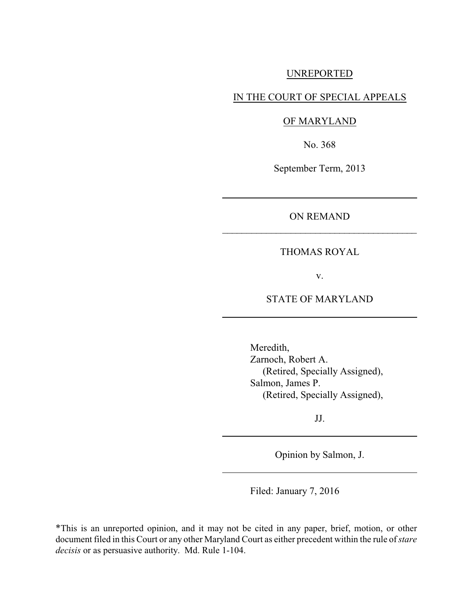#### UNREPORTED

## IN THE COURT OF SPECIAL APPEALS

## OF MARYLAND

No. 368

September Term, 2013

# ON REMAND  $\overline{\phantom{a}}$  , where the contribution of the contribution of  $\overline{\phantom{a}}$

# THOMAS ROYAL

v.

#### STATE OF MARYLAND

Meredith, Zarnoch, Robert A. (Retired, Specially Assigned), Salmon, James P. (Retired, Specially Assigned),

JJ.

Opinion by Salmon, J.

Filed: January 7, 2016

\*This is an unreported opinion, and it may not be cited in any paper, brief, motion, or other document filed in this Court or any other Maryland Court as either precedent within the rule of*stare decisis* or as persuasive authority. Md. Rule 1-104.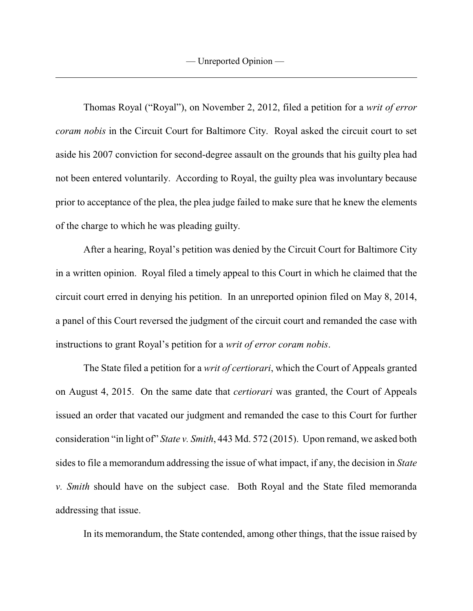Thomas Royal ("Royal"), on November 2, 2012, filed a petition for a *writ of error coram nobis* in the Circuit Court for Baltimore City. Royal asked the circuit court to set aside his 2007 conviction for second-degree assault on the grounds that his guilty plea had not been entered voluntarily. According to Royal, the guilty plea was involuntary because prior to acceptance of the plea, the plea judge failed to make sure that he knew the elements of the charge to which he was pleading guilty.

After a hearing, Royal's petition was denied by the Circuit Court for Baltimore City in a written opinion. Royal filed a timely appeal to this Court in which he claimed that the circuit court erred in denying his petition. In an unreported opinion filed on May 8, 2014, a panel of this Court reversed the judgment of the circuit court and remanded the case with instructions to grant Royal's petition for a *writ of error coram nobis*.

The State filed a petition for a *writ of certiorari*, which the Court of Appeals granted on August 4, 2015. On the same date that *certiorari* was granted, the Court of Appeals issued an order that vacated our judgment and remanded the case to this Court for further consideration "in light of" *State v. Smith*, 443 Md. 572 (2015). Upon remand, we asked both sides to file a memorandum addressing the issue of what impact, if any, the decision in *State v. Smith* should have on the subject case. Both Royal and the State filed memoranda addressing that issue.

In its memorandum, the State contended, among other things, that the issue raised by